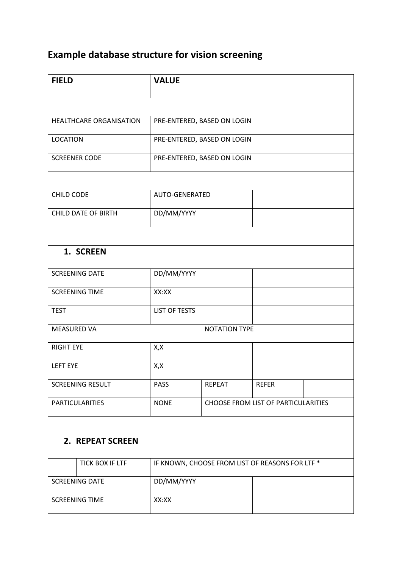## **Example database structure for vision screening**

| <b>FIELD</b>               | <b>VALUE</b> |                                                 |              |                                            |  |  |  |
|----------------------------|--------------|-------------------------------------------------|--------------|--------------------------------------------|--|--|--|
|                            |              |                                                 |              |                                            |  |  |  |
| HEALTHCARE ORGANISATION    |              | PRE-ENTERED, BASED ON LOGIN                     |              |                                            |  |  |  |
| <b>LOCATION</b>            |              | PRE-ENTERED, BASED ON LOGIN                     |              |                                            |  |  |  |
| <b>SCREENER CODE</b>       |              | PRE-ENTERED, BASED ON LOGIN                     |              |                                            |  |  |  |
|                            |              |                                                 |              |                                            |  |  |  |
| <b>CHILD CODE</b>          |              | AUTO-GENERATED                                  |              |                                            |  |  |  |
| <b>CHILD DATE OF BIRTH</b> |              | DD/MM/YYYY                                      |              |                                            |  |  |  |
|                            |              |                                                 |              |                                            |  |  |  |
| 1. SCREEN                  |              |                                                 |              |                                            |  |  |  |
| <b>SCREENING DATE</b>      |              | DD/MM/YYYY                                      |              |                                            |  |  |  |
| <b>SCREENING TIME</b>      | XX:XX        |                                                 |              |                                            |  |  |  |
| <b>TEST</b>                |              | <b>LIST OF TESTS</b>                            |              |                                            |  |  |  |
| <b>MEASURED VA</b>         |              | <b>NOTATION TYPE</b>                            |              |                                            |  |  |  |
| <b>RIGHT EYE</b>           | X, X         |                                                 |              |                                            |  |  |  |
| <b>LEFT EYE</b>            | X,X          |                                                 |              |                                            |  |  |  |
| <b>SCREENING RESULT</b>    | <b>PASS</b>  | <b>REPEAT</b>                                   | <b>REFER</b> |                                            |  |  |  |
| <b>PARTICULARITIES</b>     | <b>NONE</b>  |                                                 |              | <b>CHOOSE FROM LIST OF PARTICULARITIES</b> |  |  |  |
|                            |              |                                                 |              |                                            |  |  |  |
| 2. REPEAT SCREEN           |              |                                                 |              |                                            |  |  |  |
| <b>TICK BOX IF LTF</b>     |              | IF KNOWN, CHOOSE FROM LIST OF REASONS FOR LTF * |              |                                            |  |  |  |
| <b>SCREENING DATE</b>      | DD/MM/YYYY   |                                                 |              |                                            |  |  |  |
| <b>SCREENING TIME</b>      | XX:XX        |                                                 |              |                                            |  |  |  |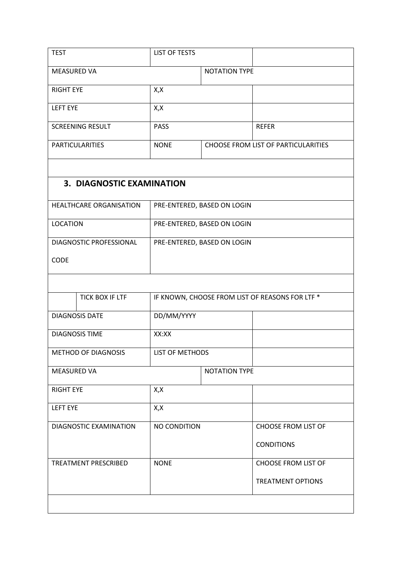| <b>TEST</b>                      | <b>LIST OF TESTS</b>   |                                                 |                            |  |  |  |  |  |
|----------------------------------|------------------------|-------------------------------------------------|----------------------------|--|--|--|--|--|
| <b>MEASURED VA</b>               | <b>NOTATION TYPE</b>   |                                                 |                            |  |  |  |  |  |
| <b>RIGHT EYE</b>                 | X,X                    |                                                 |                            |  |  |  |  |  |
| <b>LEFT EYE</b>                  | X, X                   |                                                 |                            |  |  |  |  |  |
| <b>SCREENING RESULT</b>          | <b>PASS</b>            |                                                 | <b>REFER</b>               |  |  |  |  |  |
| <b>PARTICULARITIES</b>           | <b>NONE</b>            | CHOOSE FROM LIST OF PARTICULARITIES             |                            |  |  |  |  |  |
|                                  |                        |                                                 |                            |  |  |  |  |  |
| <b>3. DIAGNOSTIC EXAMINATION</b> |                        |                                                 |                            |  |  |  |  |  |
| HEALTHCARE ORGANISATION          |                        | PRE-ENTERED, BASED ON LOGIN                     |                            |  |  |  |  |  |
| <b>LOCATION</b>                  |                        | PRE-ENTERED, BASED ON LOGIN                     |                            |  |  |  |  |  |
| DIAGNOSTIC PROFESSIONAL          |                        | PRE-ENTERED, BASED ON LOGIN                     |                            |  |  |  |  |  |
| <b>CODE</b>                      |                        |                                                 |                            |  |  |  |  |  |
|                                  |                        |                                                 |                            |  |  |  |  |  |
| TICK BOX IF LTF                  |                        | IF KNOWN, CHOOSE FROM LIST OF REASONS FOR LTF * |                            |  |  |  |  |  |
| <b>DIAGNOSIS DATE</b>            | DD/MM/YYYY             |                                                 |                            |  |  |  |  |  |
| <b>DIAGNOSIS TIME</b>            | XX:XX                  |                                                 |                            |  |  |  |  |  |
| <b>METHOD OF DIAGNOSIS</b>       | <b>LIST OF METHODS</b> |                                                 |                            |  |  |  |  |  |
| <b>MEASURED VA</b>               |                        | <b>NOTATION TYPE</b>                            |                            |  |  |  |  |  |
| <b>RIGHT EYE</b>                 | X, X                   |                                                 |                            |  |  |  |  |  |
| <b>LEFT EYE</b>                  | X, X                   |                                                 |                            |  |  |  |  |  |
| DIAGNOSTIC EXAMINATION           | NO CONDITION           |                                                 | <b>CHOOSE FROM LIST OF</b> |  |  |  |  |  |
|                                  |                        |                                                 | <b>CONDITIONS</b>          |  |  |  |  |  |
| TREATMENT PRESCRIBED             | <b>NONE</b>            |                                                 | <b>CHOOSE FROM LIST OF</b> |  |  |  |  |  |
|                                  |                        |                                                 | <b>TREATMENT OPTIONS</b>   |  |  |  |  |  |
|                                  |                        |                                                 |                            |  |  |  |  |  |